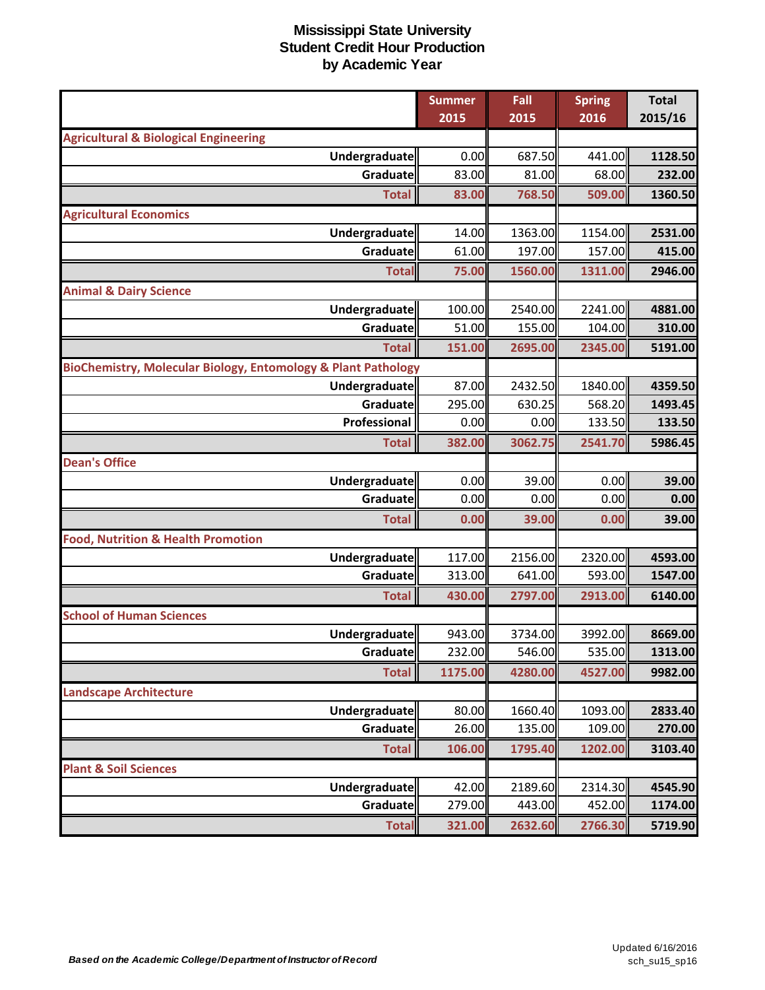|                                                               | <b>Summer</b> | Fall    | <b>Spring</b> | <b>Total</b> |
|---------------------------------------------------------------|---------------|---------|---------------|--------------|
|                                                               | 2015          | 2015    | 2016          | 2015/16      |
| <b>Agricultural &amp; Biological Engineering</b>              |               |         |               |              |
| Undergraduate                                                 | 0.00          | 687.50  | 441.00        | 1128.50      |
| Graduate                                                      | 83.00         | 81.00   | 68.00         | 232.00       |
| <b>Total</b>                                                  | 83.00         | 768.50  | 509.00        | 1360.50      |
| <b>Agricultural Economics</b>                                 |               |         |               |              |
| <b>Undergraduate</b>                                          | 14.00         | 1363.00 | 1154.00       | 2531.00      |
| Graduate                                                      | 61.00         | 197.00  | 157.00        | 415.00       |
| <b>Total</b>                                                  | 75.00         | 1560.00 | 1311.00       | 2946.00      |
| <b>Animal &amp; Dairy Science</b>                             |               |         |               |              |
| Undergraduate                                                 | 100.00        | 2540.00 | 2241.00       | 4881.00      |
| Graduate                                                      | 51.00         | 155.00  | 104.00        | 310.00       |
| <b>Total</b>                                                  | 151.00        | 2695.00 | 2345.00       | 5191.00      |
| BioChemistry, Molecular Biology, Entomology & Plant Pathology |               |         |               |              |
| Undergraduate                                                 | 87.00         | 2432.50 | 1840.00       | 4359.50      |
| Graduate                                                      | 295.00        | 630.25  | 568.20        | 1493.45      |
| Professional                                                  | 0.00          | 0.00    | 133.50        | 133.50       |
| <b>Total</b>                                                  | 382.00        | 3062.75 | 2541.70       | 5986.45      |
| <b>Dean's Office</b>                                          |               |         |               |              |
| Undergraduate                                                 | 0.00          | 39.00   | 0.00          | 39.00        |
| Graduate                                                      | 0.00          | 0.00    | 0.00          | 0.00         |
| <b>Total</b>                                                  | 0.00          | 39.00   | 0.00          | 39.00        |
| <b>Food, Nutrition &amp; Health Promotion</b>                 |               |         |               |              |
| Undergraduate                                                 | 117.00        | 2156.00 | 2320.00       | 4593.00      |
| Graduatel                                                     | 313.00        | 641.00  | 593.00        | 1547.00      |
| <b>Total</b>                                                  | 430.00        | 2797.00 | 2913.00       | 6140.00      |
| <b>School of Human Sciences</b>                               |               |         |               |              |
| Undergraduate                                                 | 943.00        | 3734.00 | 3992.00       | 8669.00      |
| Graduate                                                      | 232.00        | 546.00  | 535.00        | 1313.00      |
| <b>Total</b>                                                  | 1175.00       | 4280.00 | 4527.00       | 9982.00      |
| <b>Landscape Architecture</b>                                 |               |         |               |              |
| Undergraduate                                                 | 80.00         | 1660.40 | 1093.00       | 2833.40      |
| Graduate                                                      | 26.00         | 135.00  | 109.00        | 270.00       |
| <b>Total</b>                                                  | 106.00        | 1795.40 | 1202.00       | 3103.40      |
| <b>Plant &amp; Soil Sciences</b>                              |               |         |               |              |
| Undergraduate                                                 | 42.00         | 2189.60 | 2314.30       | 4545.90      |
| <b>Graduate</b>                                               | 279.00        | 443.00  | 452.00        | 1174.00      |
| <b>Total</b>                                                  | 321.00        | 2632.60 | 2766.30       | 5719.90      |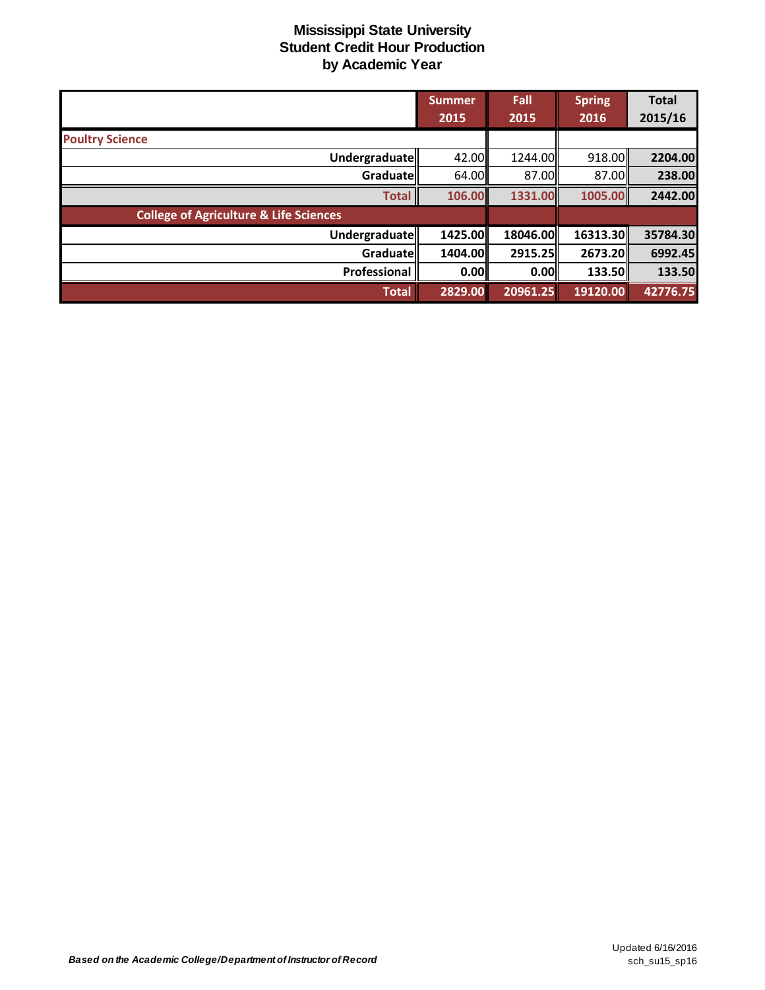|                                                   | <b>Summer</b><br>2015 | Fall<br>2015 | <b>Spring</b><br>2016 | <b>Total</b><br>2015/16 |
|---------------------------------------------------|-----------------------|--------------|-----------------------|-------------------------|
| <b>Poultry Science</b>                            |                       |              |                       |                         |
| Undergraduate                                     | 42.00                 | 1244.00      | 918.00                | 2204.00                 |
| Graduate                                          | 64.00                 | 87.00        | 87.00                 | 238.00                  |
| <b>Total</b>                                      | 106.00                | 1331.00      | 1005.00               | 2442.00                 |
| <b>College of Agriculture &amp; Life Sciences</b> |                       |              |                       |                         |
| Undergraduate                                     | 1425.00               | 18046.00     | 16313.30              | 35784.30                |
| Graduate                                          | 1404.00               | 2915.25      | 2673.20               | 6992.45                 |
| Professional                                      | 0.00                  | 0.00         | 133.50                | 133.50                  |
| <b>Total</b>                                      | 2829.00               | 20961.25     | 19120.00              | 42776.75                |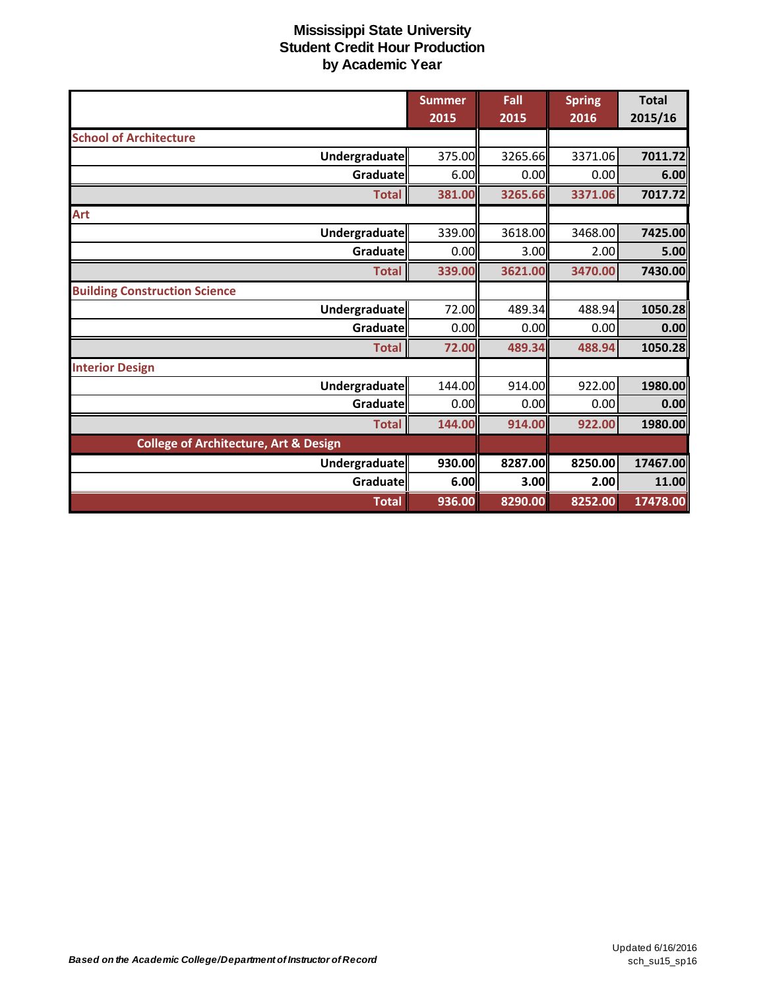|                                                  | <b>Summer</b><br>2015 | Fall<br>2015 | <b>Spring</b><br>2016 | <b>Total</b><br>2015/16 |
|--------------------------------------------------|-----------------------|--------------|-----------------------|-------------------------|
| <b>School of Architecture</b>                    |                       |              |                       |                         |
| Undergraduate                                    | 375.00                | 3265.66      | 3371.06               | 7011.72                 |
| <b>Graduate</b>                                  | 6.00                  | 0.00         | 0.00                  | 6.00                    |
| <b>Total</b>                                     | 381.00                | 3265.66      | 3371.06               | 7017.72                 |
| Art                                              |                       |              |                       |                         |
| Undergraduate                                    | 339.00                | 3618.00      | 3468.00               | 7425.00                 |
| <b>Graduate</b>                                  | 0.00                  | 3.00         | 2.00                  | 5.00                    |
| <b>Total</b>                                     | 339.00                | 3621.00      | 3470.00               | 7430.00                 |
| <b>Building Construction Science</b>             |                       |              |                       |                         |
| Undergraduate                                    | 72.00                 | 489.34       | 488.94                | 1050.28                 |
| Graduate                                         | 0.00                  | 0.00         | 0.00                  | 0.00                    |
| <b>Total</b>                                     | 72.00                 | 489.34       | 488.94                | 1050.28                 |
| <b>Interior Design</b>                           |                       |              |                       |                         |
| Undergraduate                                    | 144.00                | 914.00       | 922.00                | 1980.00                 |
| <b>Graduate</b>                                  | 0.00                  | 0.00         | 0.00                  | 0.00                    |
| <b>Total</b>                                     | 144.00                | 914.00       | 922.00                | 1980.00                 |
| <b>College of Architecture, Art &amp; Design</b> |                       |              |                       |                         |
| Undergraduate                                    | 930.00                | 8287.00      | 8250.00               | 17467.00                |
| Graduate                                         | 6.00                  | 3.00         | 2.00                  | 11.00                   |
| <b>Total</b>                                     | 936.00                | 8290.00      | 8252.00               | 17478.00                |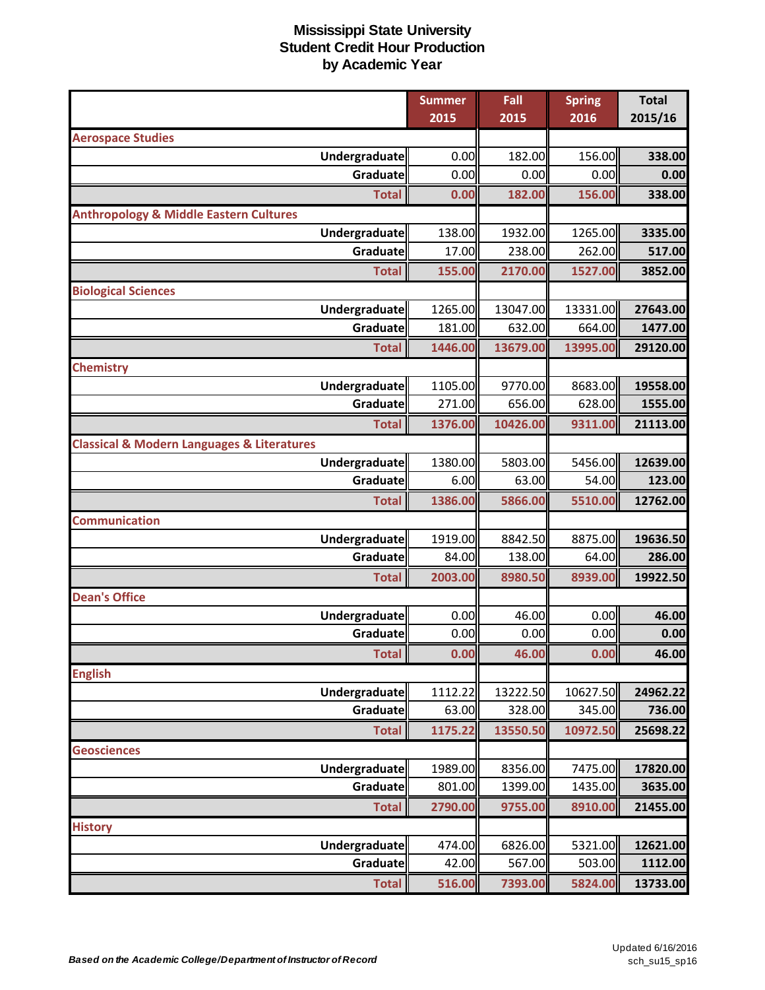|                                                           | <b>Summer</b><br>2015 | Fall<br>2015       | <b>Spring</b><br>2016 | <b>Total</b><br>2015/16 |
|-----------------------------------------------------------|-----------------------|--------------------|-----------------------|-------------------------|
| <b>Aerospace Studies</b>                                  |                       |                    |                       |                         |
| <b>Undergraduate</b>                                      | 0.00                  | 182.00             | 156.00                | 338.00                  |
| Graduate                                                  | 0.00                  | 0.00               | 0.00                  | 0.00                    |
| <b>Total</b>                                              | 0.00                  | 182.00             | 156.00                | 338.00                  |
| <b>Anthropology &amp; Middle Eastern Cultures</b>         |                       |                    |                       |                         |
| <b>Undergraduate</b>                                      | 138.00                | 1932.00            | 1265.00               | 3335.00                 |
| Graduate                                                  | 17.00                 | 238.00             | 262.00                | 517.00                  |
| <b>Total</b>                                              | 155.00                | 2170.00            | 1527.00               | 3852.00                 |
| <b>Biological Sciences</b>                                |                       |                    |                       |                         |
| Undergraduate                                             | 1265.00               | 13047.00           | 13331.00              | 27643.00                |
| Graduate                                                  | 181.00                | 632.00             | 664.00                | 1477.00                 |
| <b>Total</b>                                              | 1446.00               | 13679.00           | 13995.00              | 29120.00                |
| <b>Chemistry</b>                                          |                       |                    |                       |                         |
| Undergraduate                                             | 1105.00               | 9770.00            | 8683.00               | 19558.00                |
| Graduate                                                  | 271.00                | 656.00             | 628.00                | 1555.00                 |
| <b>Total</b>                                              | 1376.00               | 10426.00           | 9311.00               | 21113.00                |
| <b>Classical &amp; Modern Languages &amp; Literatures</b> |                       |                    |                       |                         |
| Undergraduate                                             | 1380.00               | 5803.00            | 5456.00               | 12639.00                |
| Graduate                                                  | 6.00                  | 63.00              | 54.00                 | 123.00                  |
| <b>Total</b>                                              | 1386.00               | 5866.00            | 5510.00               | 12762.00                |
| <b>Communication</b>                                      |                       |                    |                       |                         |
| <b>Undergraduate</b>                                      | 1919.00               | 8842.50            | 8875.00               | 19636.50                |
| <b>Graduate</b>                                           | 84.00                 | 138.00             | 64.00                 | 286.00                  |
| <b>Total</b>                                              | 2003.00               | 8980.50            | 8939.00               | 19922.50                |
| <b>Dean's Office</b>                                      |                       |                    |                       |                         |
| <b>Undergraduate</b>                                      | 0.00                  | 46.00              | 0.00                  | 46.00                   |
| Graduate                                                  | 0.00                  | 0.00               | 0.00                  | 0.00                    |
| <b>Total</b>                                              | 0.00                  | 46.00              | 0.00                  | 46.00                   |
| <b>English</b>                                            |                       |                    |                       |                         |
| <b>Undergraduate</b>                                      | 1112.22               | 13222.50           | 10627.50              | 24962.22                |
| Graduate                                                  | 63.00                 | 328.00             | 345.00                | 736.00                  |
| <b>Total</b>                                              | 1175.22               | 13550.50           | 10972.50              | 25698.22                |
| <b>Geosciences</b>                                        |                       |                    |                       |                         |
| <b>Undergraduate</b><br>Graduate                          | 1989.00<br>801.00     | 8356.00<br>1399.00 | 7475.00<br>1435.00    | 17820.00                |
|                                                           |                       |                    |                       | 3635.00                 |
| <b>Total</b>                                              | 2790.00               | 9755.00            | 8910.00               | 21455.00                |
| <b>History</b><br>Undergraduate                           | 474.00                | 6826.00            | 5321.00               | 12621.00                |
| Graduate                                                  | 42.00                 | 567.00             | 503.00                | 1112.00                 |
| <b>Total</b>                                              | 516.00                | 7393.00            | 5824.00               | 13733.00                |
|                                                           |                       |                    |                       |                         |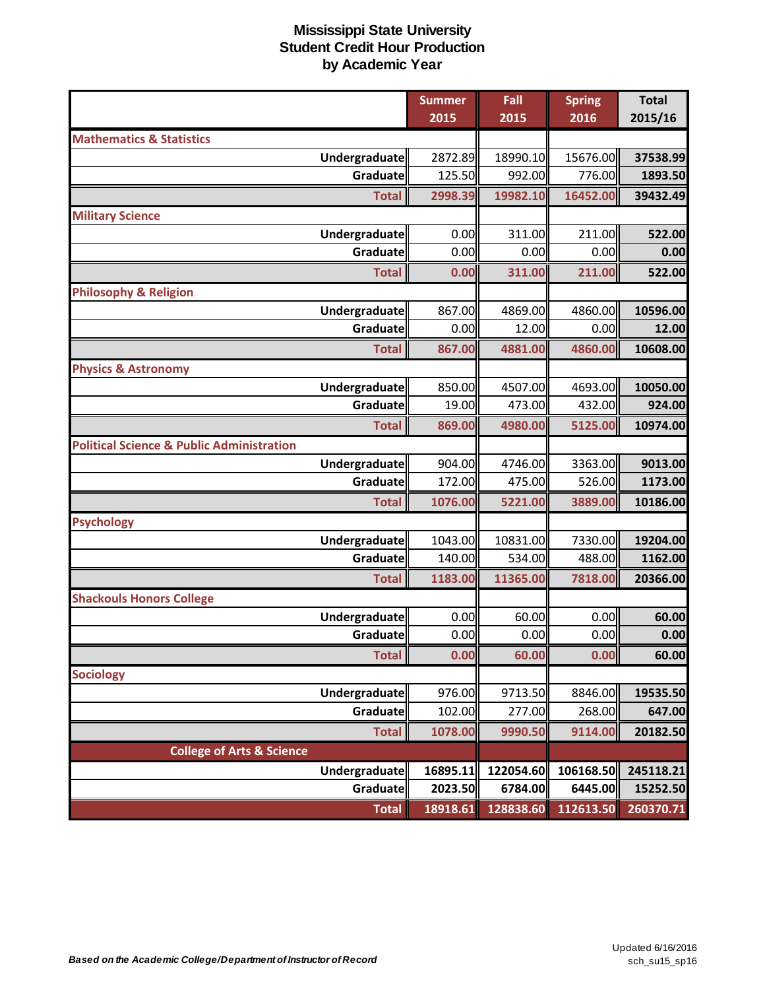|                                                      | <b>Summer</b> | Fall      | <b>Spring</b> | <b>Total</b> |
|------------------------------------------------------|---------------|-----------|---------------|--------------|
|                                                      | 2015          | 2015      | 2016          | 2015/16      |
| <b>Mathematics &amp; Statistics</b>                  |               |           |               |              |
| Undergraduate                                        | 2872.89       | 18990.10  | 15676.00      | 37538.99     |
| Graduate                                             | 125.50        | 992.00    | 776.00        | 1893.50      |
| <b>Total</b>                                         | 2998.39       | 19982.10  | 16452.00      | 39432.49     |
| <b>Military Science</b>                              |               |           |               |              |
| Undergraduate                                        | 0.00          | 311.00    | 211.00        | 522.00       |
| Graduate                                             | 0.00          | 0.00      | 0.00          | 0.00         |
| <b>Total</b>                                         | 0.00          | 311.00    | 211.00        | 522.00       |
| <b>Philosophy &amp; Religion</b>                     |               |           |               |              |
| Undergraduate                                        | 867.00        | 4869.00   | 4860.00       | 10596.00     |
| <b>Graduate</b>                                      | 0.00          | 12.00     | 0.00          | 12.00        |
| <b>Total</b>                                         | 867.00        | 4881.00   | 4860.00       | 10608.00     |
| <b>Physics &amp; Astronomy</b>                       |               |           |               |              |
| Undergraduate                                        | 850.00        | 4507.00   | 4693.00       | 10050.00     |
| Graduate                                             | 19.00         | 473.00    | 432.00        | 924.00       |
| <b>Total</b>                                         | 869.00        | 4980.00   | 5125.00       | 10974.00     |
| <b>Political Science &amp; Public Administration</b> |               |           |               |              |
| Undergraduate                                        | 904.00        | 4746.00   | 3363.00       | 9013.00      |
| Graduate                                             | 172.00        | 475.00    | 526.00        | 1173.00      |
| <b>Total</b>                                         | 1076.00       | 5221.00   | 3889.00       | 10186.00     |
| <b>Psychology</b>                                    |               |           |               |              |
| Undergraduate                                        | 1043.00       | 10831.00  | 7330.00       | 19204.00     |
| Graduate                                             | 140.00        | 534.00    | 488.00        | 1162.00      |
| <b>Total</b>                                         | 1183.00       | 11365.00  | 7818.00       | 20366.00     |
| <b>Shackouls Honors College</b>                      |               |           |               |              |
| Undergraduate                                        | 0.00          | 60.00     | 0.00          | 60.00        |
| Graduate                                             | 0.00          | 0.00      | 0.00          | 0.00         |
| <b>Total</b>                                         | 0.00          | 60.00     | 0.00          | 60.00        |
| <b>Sociology</b>                                     |               |           |               |              |
| <b>Undergraduate</b>                                 | 976.00        | 9713.50   | 8846.00       | 19535.50     |
| Graduate                                             | 102.00        | 277.00    | 268.00        | 647.00       |
| <b>Total</b>                                         | 1078.00       | 9990.50   | 9114.00       | 20182.50     |
| <b>College of Arts &amp; Science</b>                 |               |           |               |              |
| Undergraduate                                        | 16895.11      | 122054.60 | 106168.50     | 245118.21    |
| Graduate                                             | 2023.50       | 6784.00   | 6445.00       | 15252.50     |
| <b>Total</b>                                         | 18918.61      | 128838.60 | 112613.50     | 260370.71    |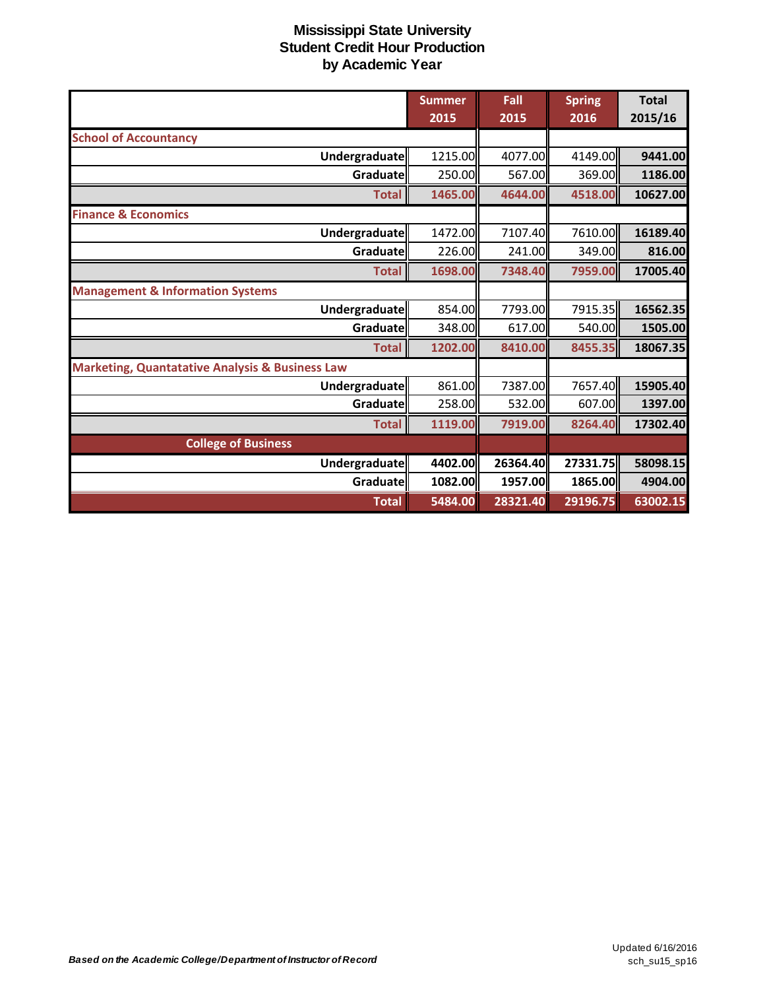|                                                            | <b>Summer</b><br>2015 | Fall<br>2015 | <b>Spring</b><br>2016 | <b>Total</b><br>2015/16 |
|------------------------------------------------------------|-----------------------|--------------|-----------------------|-------------------------|
| <b>School of Accountancy</b>                               |                       |              |                       |                         |
| Undergraduate                                              | 1215.00               | 4077.00      | 4149.00               | 9441.00                 |
| Graduate                                                   | 250.00                | 567.00       | 369.00                | 1186.00                 |
| <b>Total</b>                                               | 1465.00               | 4644.00      | 4518.00               | 10627.00                |
| <b>Finance &amp; Economics</b>                             |                       |              |                       |                         |
| Undergraduate                                              | 1472.00               | 7107.40      | 7610.00               | 16189.40                |
| Graduate                                                   | 226.00                | 241.00       | 349.00                | 816.00                  |
| <b>Total</b>                                               | 1698.00               | 7348.40      | 7959.00               | 17005.40                |
| <b>Management &amp; Information Systems</b>                |                       |              |                       |                         |
| Undergraduate                                              | 854.00                | 7793.00      | 7915.35               | 16562.35                |
| Graduate                                                   | 348.00                | 617.00       | 540.00                | 1505.00                 |
| <b>Total</b>                                               | 1202.00               | 8410.00      | 8455.35               | 18067.35                |
| <b>Marketing, Quantatative Analysis &amp; Business Law</b> |                       |              |                       |                         |
| Undergraduate                                              | 861.00                | 7387.00      | 7657.40               | 15905.40                |
| Graduatell                                                 | 258.00                | 532.00       | 607.00                | 1397.00                 |
| <b>Total</b>                                               | 1119.00               | 7919.00      | 8264.40               | 17302.40                |
| <b>College of Business</b>                                 |                       |              |                       |                         |
| Undergraduate                                              | 4402.00               | 26364.40     | 27331.75              | 58098.15                |
| Graduate                                                   | 1082.00               | 1957.00      | 1865.00               | 4904.00                 |
| <b>Total</b>                                               | 5484.00               | 28321.40     | 29196.75              | 63002.15                |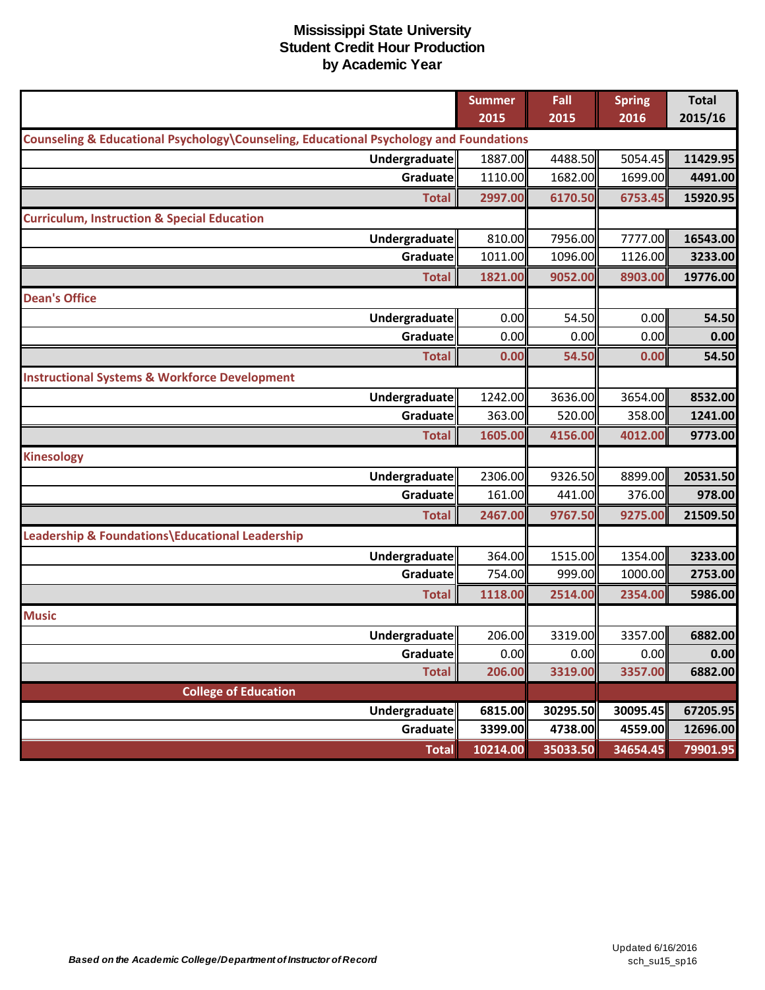|                                                                                        | <b>Summer</b><br>2015 | Fall<br>2015        | <b>Spring</b><br>2016 | <b>Total</b><br>2015/16 |
|----------------------------------------------------------------------------------------|-----------------------|---------------------|-----------------------|-------------------------|
| Counseling & Educational Psychology\Counseling, Educational Psychology and Foundations |                       |                     |                       |                         |
| Undergraduate                                                                          | 1887.00               | 4488.50             | 5054.45               | 11429.95                |
| <b>Graduate</b>                                                                        | 1110.00               | 1682.00             | 1699.00               | 4491.00                 |
| <b>Total</b>                                                                           | 2997.00               | 6170.50             | 6753.45               | 15920.95                |
| <b>Curriculum, Instruction &amp; Special Education</b>                                 |                       |                     |                       |                         |
| Undergraduate                                                                          | 810.00                | 7956.00             | 7777.00               | 16543.00                |
| Graduate                                                                               | 1011.00               | 1096.00             | 1126.00               | 3233.00                 |
| <b>Total</b>                                                                           | 1821.00               | 9052.00             | 8903.00               | 19776.00                |
| <b>Dean's Office</b>                                                                   |                       |                     |                       |                         |
| <b>Undergraduate</b>                                                                   | 0.00                  | 54.50               | 0.00                  | 54.50                   |
| Graduate                                                                               | 0.00                  | 0.00                | 0.00                  | 0.00                    |
| <b>Total</b>                                                                           | 0.00                  | 54.50               | 0.00                  | 54.50                   |
| <b>Instructional Systems &amp; Workforce Development</b>                               |                       |                     |                       |                         |
| <b>Undergraduate</b>                                                                   | 1242.00               | 3636.00             | 3654.00               | 8532.00                 |
| Graduate                                                                               | 363.00                | 520.00              | 358.00                | 1241.00                 |
| <b>Total</b>                                                                           | 1605.00               | 4156.00             | 4012.00               | 9773.00                 |
| <b>Kinesology</b>                                                                      |                       |                     |                       |                         |
| Undergraduate                                                                          | 2306.00               | 9326.50             | 8899.00               | 20531.50                |
| Graduate                                                                               | 161.00                | 441.00              | 376.00                | 978.00                  |
| <b>Total</b>                                                                           | 2467.00               | 9767.50             | 9275.00               | 21509.50                |
| Leadership & Foundations\Educational Leadership                                        |                       |                     |                       |                         |
| <b>Undergraduate</b>                                                                   | 364.00                | 1515.00             | 1354.00               | 3233.00                 |
| Graduate                                                                               | 754.00                | 999.00              | 1000.00               | 2753.00                 |
| <b>Total</b>                                                                           | 1118.00               | 2514.00             | 2354.00               | 5986.00                 |
| <b>Music</b>                                                                           |                       |                     |                       |                         |
| Undergraduate                                                                          | 206.00                | 3319.00             | 3357.00               | 6882.00                 |
| Graduate                                                                               | 0.00                  | 0.00                | 0.00                  | 0.00                    |
| <b>Total</b>                                                                           | 206.00                | 3319.00             | 3357.00               | 6882.00                 |
| <b>College of Education</b>                                                            |                       |                     |                       |                         |
| Undergraduate<br>Graduate                                                              | 6815.00<br>3399.00    | 30295.50<br>4738.00 | 30095.45<br>4559.00   | 67205.95<br>12696.00    |
| <b>Total</b>                                                                           | 10214.00              | 35033.50            | 34654.45              | 79901.95                |
|                                                                                        |                       |                     |                       |                         |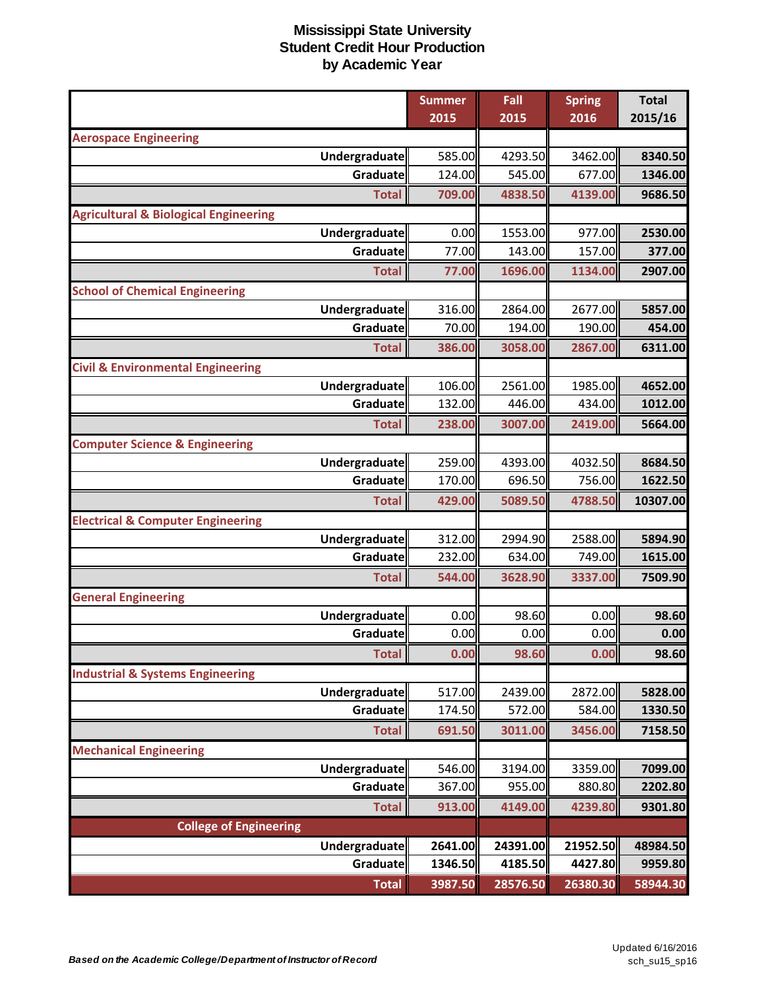|                                                  | <b>Summer</b>    | Fall              | <b>Spring</b>     | <b>Total</b>       |
|--------------------------------------------------|------------------|-------------------|-------------------|--------------------|
|                                                  | 2015             | 2015              | 2016              | 2015/16            |
| <b>Aerospace Engineering</b>                     |                  |                   |                   |                    |
| <b>Undergraduate</b><br>Graduate                 | 585.00<br>124.00 | 4293.50<br>545.00 | 3462.00<br>677.00 | 8340.50<br>1346.00 |
|                                                  |                  |                   |                   |                    |
| <b>Total</b>                                     | 709.00           | 4838.50           | 4139.00           | 9686.50            |
| <b>Agricultural &amp; Biological Engineering</b> |                  |                   |                   |                    |
| <b>Undergraduate</b><br>Graduate                 | 0.00<br>77.00    | 1553.00<br>143.00 | 977.00<br>157.00  | 2530.00<br>377.00  |
|                                                  |                  |                   |                   |                    |
| <b>Total</b>                                     | 77.00            | 1696.00           | 1134.00           | 2907.00            |
| <b>School of Chemical Engineering</b>            |                  |                   | 2677.00           |                    |
| Undergraduate<br>Graduate                        | 316.00<br>70.00  | 2864.00<br>194.00 | 190.00            | 5857.00<br>454.00  |
|                                                  | 386.00           | 3058.00           |                   |                    |
| <b>Total</b>                                     |                  |                   | 2867.00           | 6311.00            |
| <b>Civil &amp; Environmental Engineering</b>     | 106.00           |                   | 1985.00           | 4652.00            |
| Undergraduate<br>Graduate                        | 132.00           | 2561.00<br>446.00 | 434.00            | 1012.00            |
|                                                  |                  |                   |                   |                    |
| <b>Total</b>                                     | 238.00           | 3007.00           | 2419.00           | 5664.00            |
| <b>Computer Science &amp; Engineering</b>        | 259.00           |                   | 4032.50           |                    |
| Undergraduate<br>Graduate                        | 170.00           | 4393.00<br>696.50 | 756.00            | 8684.50<br>1622.50 |
|                                                  |                  |                   |                   |                    |
| <b>Total</b>                                     | 429.00           | 5089.50           | 4788.50           | 10307.00           |
| <b>Electrical &amp; Computer Engineering</b>     |                  |                   |                   |                    |
| <b>Undergraduate</b><br><b>Graduate</b>          | 312.00<br>232.00 | 2994.90<br>634.00 | 2588.00<br>749.00 | 5894.90<br>1615.00 |
|                                                  |                  |                   |                   |                    |
| <b>Total</b>                                     | 544.00           | 3628.90           | 3337.00           | 7509.90            |
| <b>General Engineering</b>                       |                  |                   |                   |                    |
| <b>Undergraduate</b>                             | 0.00             | 98.60             | 0.00              | 98.60              |
| Graduate                                         | 0.00             | 0.00              | 0.00              | 0.00               |
| <b>Total</b>                                     | 0.00             | 98.60             | 0.00              | 98.60              |
| <b>Industrial &amp; Systems Engineering</b>      |                  |                   |                   |                    |
| Undergraduate                                    | 517.00           | 2439.00           | 2872.00           | 5828.00            |
| Graduate                                         | 174.50           | 572.00            | 584.00            | 1330.50            |
| <b>Total</b>                                     | 691.50           | 3011.00           | 3456.00           | 7158.50            |
| <b>Mechanical Engineering</b>                    |                  |                   |                   |                    |
| Undergraduate                                    | 546.00           | 3194.00           | 3359.00           | 7099.00            |
| Graduate                                         | 367.00           | 955.00            | 880.80            | 2202.80            |
| <b>Total</b>                                     | 913.00           | 4149.00           | 4239.80           | 9301.80            |
| <b>College of Engineering</b>                    |                  |                   |                   |                    |
| <b>Undergraduate</b>                             | 2641.00          | 24391.00          | 21952.50          | 48984.50           |
| Graduate                                         | 1346.50          | 4185.50           | 4427.80           | 9959.80            |
| <b>Total</b>                                     | 3987.50          | 28576.50          | 26380.30          | 58944.30           |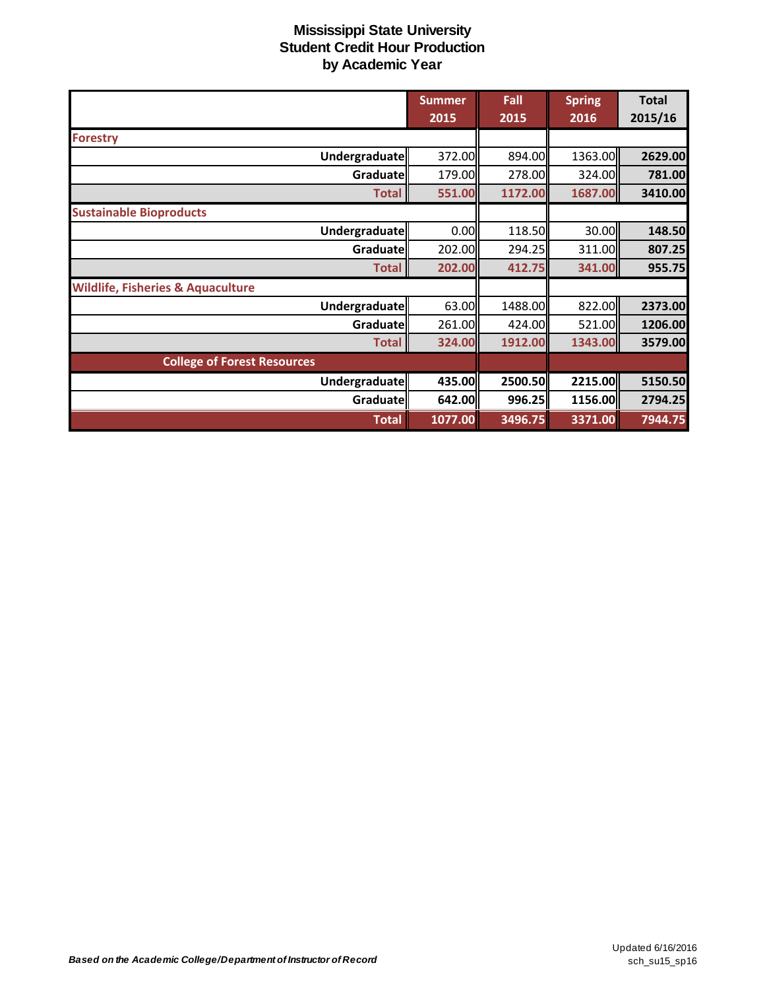|                                              | <b>Summer</b> | Fall    | <b>Spring</b> | <b>Total</b> |
|----------------------------------------------|---------------|---------|---------------|--------------|
|                                              | 2015          | 2015    | 2016          | 2015/16      |
| <b>Forestry</b>                              |               |         |               |              |
| Undergraduate                                | 372.00        | 894.00  | 1363.00       | 2629.00      |
| Graduatell                                   | 179.00        | 278.00  | 324.00        | 781.00       |
| <b>Total</b>                                 | 551.00        | 1172.00 | 1687.00       | 3410.00      |
| <b>Sustainable Bioproducts</b>               |               |         |               |              |
| Undergraduate                                | 0.00          | 118.50  | 30.00         | 148.50       |
| Graduate                                     | 202.00        | 294.25  | 311.00        | 807.25       |
| <b>Total</b>                                 | 202.00        | 412.75  | 341.00        | 955.75       |
| <b>Wildlife, Fisheries &amp; Aquaculture</b> |               |         |               |              |
| Undergraduate                                | 63.00         | 1488.00 | 822.00        | 2373.00      |
| Graduate                                     | 261.00        | 424.00  | 521.00        | 1206.00      |
| <b>Total</b>                                 | 324.00        | 1912.00 | 1343.00       | 3579.00      |
| <b>College of Forest Resources</b>           |               |         |               |              |
| Undergraduate                                | 435.00        | 2500.50 | 2215.00       | 5150.50      |
| Graduate                                     | 642.00        | 996.25  | 1156.00       | 2794.25      |
| <b>Total</b>                                 | 1077.00       | 3496.75 | 3371.00       | 7944.75      |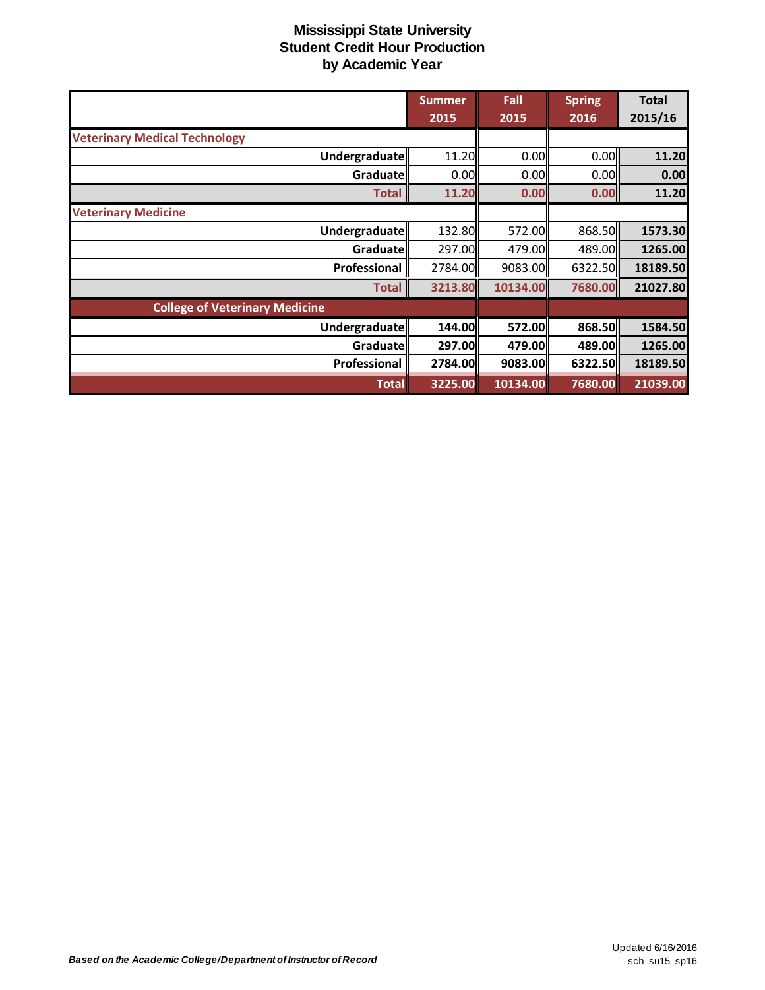|                                       | <b>Summer</b> | Fall     | <b>Spring</b> | <b>Total</b> |
|---------------------------------------|---------------|----------|---------------|--------------|
|                                       | 2015          | 2015     | 2016          | 2015/16      |
| <b>Veterinary Medical Technology</b>  |               |          |               |              |
| Undergraduate                         | 11.20         | 0.00     | 0.00          | 11.20        |
| Graduate                              | 0.00          | 0.00     | 0.00          | 0.00         |
| <b>Total</b>                          | 11.20         | 0.00     | 0.00          | 11.20        |
| <b>Veterinary Medicine</b>            |               |          |               |              |
| Undergraduate                         | 132.80        | 572.00   | 868.50        | 1573.30      |
| Graduate                              | 297.00        | 479.00   | 489.00        | 1265.00      |
| Professional                          | 2784.00       | 9083.00  | 6322.50       | 18189.50     |
| <b>Total</b>                          | 3213.80       | 10134.00 | 7680.00       | 21027.80     |
| <b>College of Veterinary Medicine</b> |               |          |               |              |
| Undergraduate                         | 144.00        | 572.00   | 868.50        | 1584.50      |
| Graduate                              | 297.00        | 479.00   | 489.00        | 1265.00      |
| Professional                          | 2784.00       | 9083.00  | 6322.50       | 18189.50     |
| <b>Total</b>                          | 3225.00       | 10134.00 | 7680.00       | 21039.00     |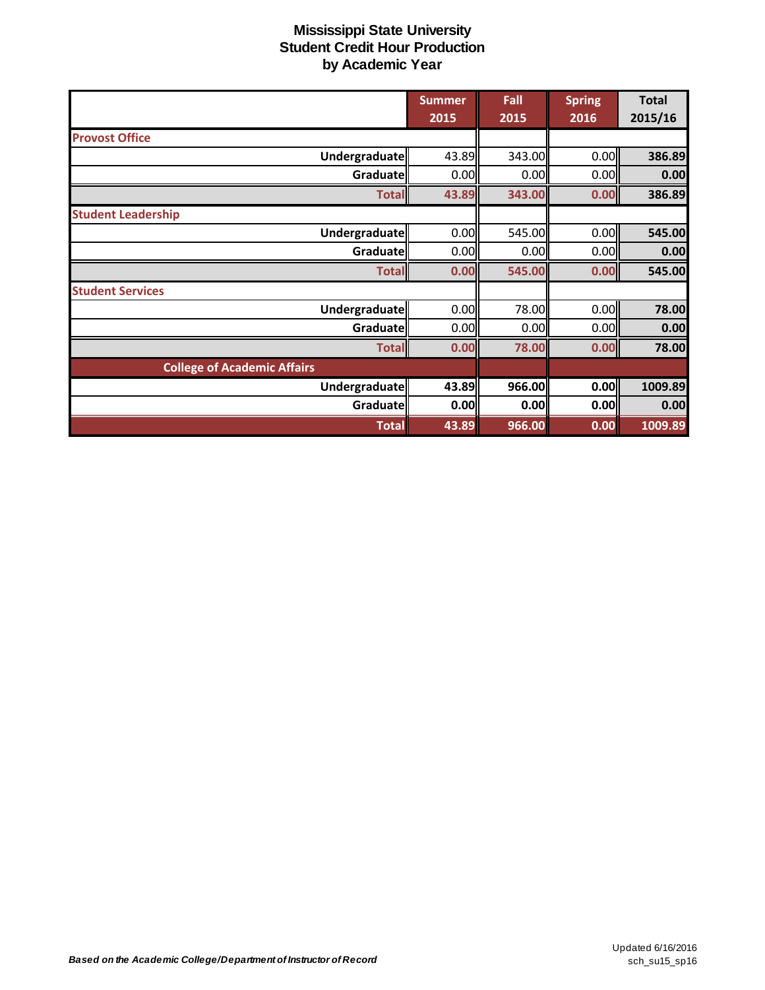|                                    | <b>Summer</b> | Fall   | <b>Spring</b> | <b>Total</b> |
|------------------------------------|---------------|--------|---------------|--------------|
|                                    | 2015          | 2015   | 2016          | 2015/16      |
| <b>Provost Office</b>              |               |        |               |              |
| Undergraduate                      | 43.89         | 343.00 | 0.00          | 386.89       |
| Graduate                           | 0.00          | 0.00   | 0.00          | 0.00         |
| <b>Total</b>                       | 43.89         | 343.00 | 0.00          | 386.89       |
| <b>Student Leadership</b>          |               |        |               |              |
| Undergraduate                      | 0.00          | 545.00 | 0.00          | 545.00       |
| Graduate                           | 0.00          | 0.00   | 0.00          | 0.00         |
| <b>Total</b>                       | 0.00          | 545.00 | 0.00          | 545.00       |
| <b>Student Services</b>            |               |        |               |              |
| Undergraduate                      | 0.00          | 78.00  | 0.00          | 78.00        |
| Graduate                           | 0.00          | 0.00   | 0.00          | 0.00         |
| <b>Total</b>                       | 0.00          | 78.00  | 0.00          | 78.00        |
| <b>College of Academic Affairs</b> |               |        |               |              |
| Undergraduate                      | 43.89         | 966.00 | 0.00          | 1009.89      |
| <b>Graduate</b>                    | 0.00          | 0.00   | 0.00          | 0.00         |
| <b>Total</b>                       | 43.89         | 966.00 | 0.00          | 1009.89      |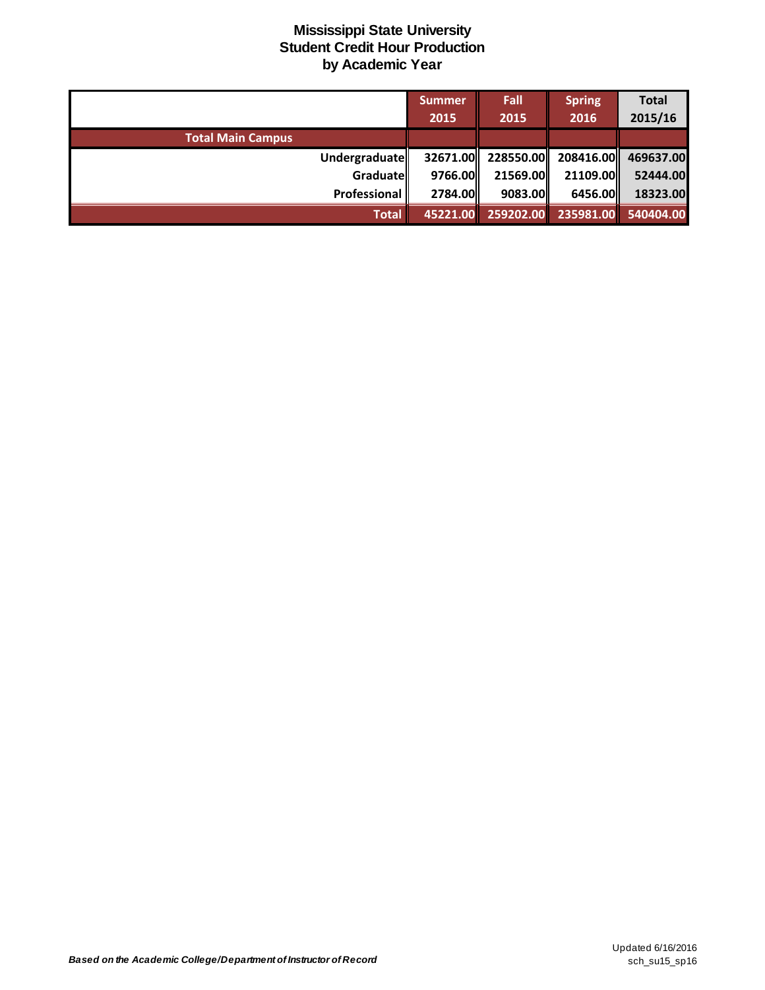|                          | Summer    | Fall               | <b>Spring</b> | <b>Total</b> |
|--------------------------|-----------|--------------------|---------------|--------------|
|                          | 2015      | 2015               | 2016          | 2015/16      |
| <b>Total Main Campus</b> |           |                    |               |              |
| Undergraduate            |           | 32671.00 228550.00 | 208416.00     | 469637.00    |
| Graduatell               | 9766.00ll | 21569.00           | 21109.00      | 52444.00     |
| Professional             | 2784.00   | 9083.00            | 6456.00       | 18323.00     |
| <b>Total</b>             |           | 45221.00 259202.00 | 235981.00     | 540404.00    |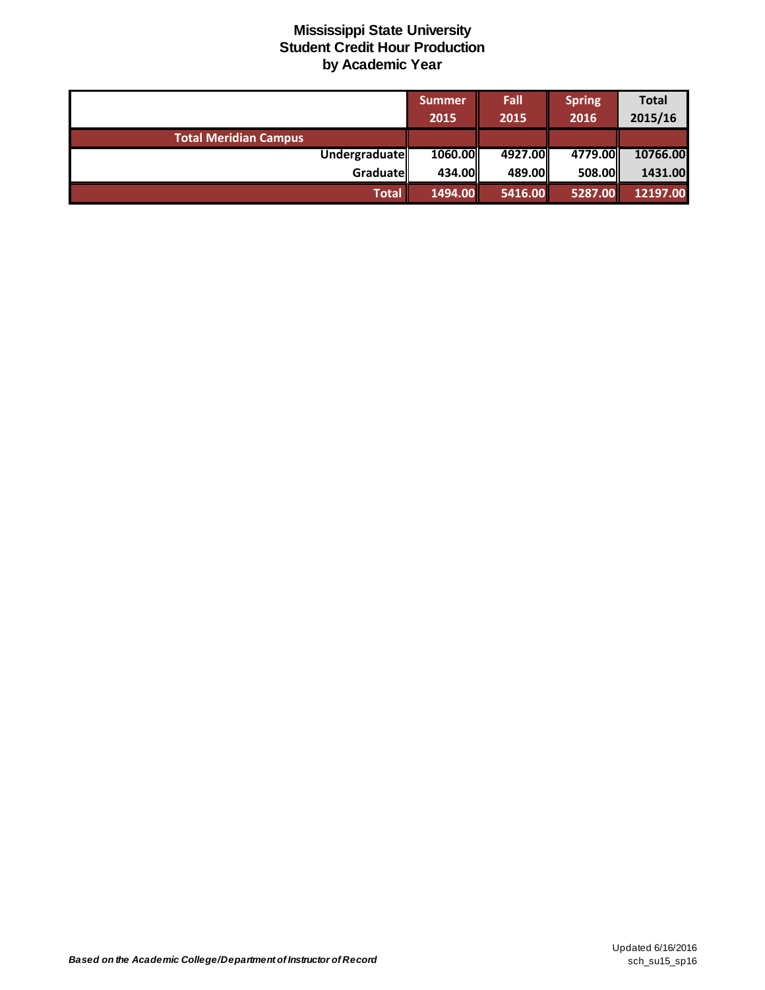|                              | Summer<br>2015 | Fall<br>2015 | <b>Spring</b><br>2016 | <b>Total</b><br>2015/16 |
|------------------------------|----------------|--------------|-----------------------|-------------------------|
| <b>Total Meridian Campus</b> |                |              |                       |                         |
| Undergraduate                | 1060.00        | 4927.00      | 4779.00               | 10766.00                |
| Graduate                     | 434.00         | 489.00       | 508.00                | 1431.00                 |
| Total                        | 1494.00        | 5416.00      | 5287.00               | 12197.00                |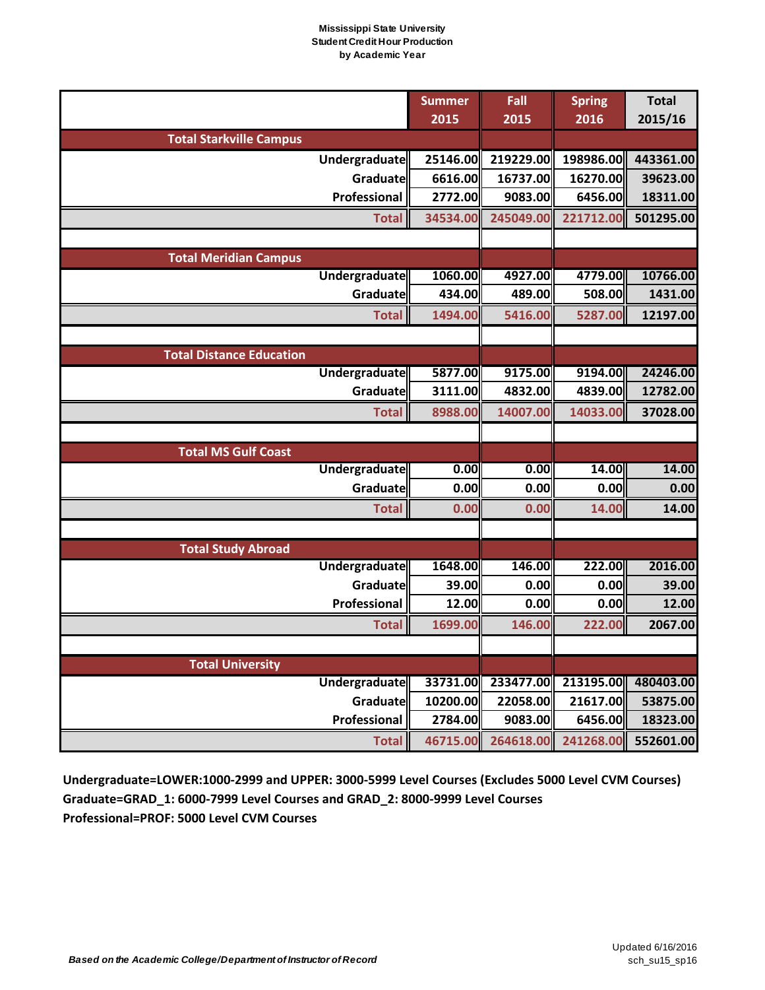|                                 | <b>Summer</b> | Fall      | <b>Spring</b> | <b>Total</b> |
|---------------------------------|---------------|-----------|---------------|--------------|
|                                 | 2015          | 2015      | 2016          | 2015/16      |
| <b>Total Starkville Campus</b>  |               |           |               |              |
| Undergraduate                   | 25146.00      | 219229.00 | 198986.00     | 443361.00    |
| Graduate                        | 6616.00       | 16737.00  | 16270.00      | 39623.00     |
| Professional                    | 2772.00       | 9083.00   | 6456.00       | 18311.00     |
| <b>Total</b>                    | 34534.00      | 245049.00 | 221712.00     | 501295.00    |
|                                 |               |           |               |              |
| <b>Total Meridian Campus</b>    |               |           |               |              |
| <b>Undergraduate</b>            | 1060.00       | 4927.00   | 4779.00       | 10766.00     |
| Graduate                        | 434.00        | 489.00    | 508.00        | 1431.00      |
| <b>Total</b>                    | 1494.00       | 5416.00   | 5287.00       | 12197.00     |
|                                 |               |           |               |              |
| <b>Total Distance Education</b> |               |           |               |              |
| Undergraduate                   | 5877.00       | 9175.00   | 9194.00       | 24246.00     |
| Graduate                        | 3111.00       | 4832.00   | 4839.00       | 12782.00     |
| <b>Total</b>                    | 8988.00       | 14007.00  | 14033.00      | 37028.00     |
|                                 |               |           |               |              |
| <b>Total MS Gulf Coast</b>      |               |           |               |              |
| <b>Undergraduate</b>            | 0.00          | 0.00      | 14.00         | 14.00        |
| Graduate                        | 0.00          | 0.00      | 0.00          | 0.00         |
| <b>Total</b>                    | 0.00          | 0.00      | 14.00         | 14.00        |
|                                 |               |           |               |              |
| <b>Total Study Abroad</b>       |               |           |               |              |
| Undergraduate                   | 1648.00       | 146.00    | 222.00        | 2016.00      |
| Graduate                        | 39.00         | 0.00      | 0.00          | 39.00        |
| Professional                    | 12.00         | 0.00      | 0.00          | 12.00        |
| <b>Total</b>                    | 1699.00       | 146.00    | 222.00        | 2067.00      |
|                                 |               |           |               |              |
| <b>Total University</b>         |               |           |               |              |
| <b>Undergraduate</b>            | 33731.00      | 233477.00 | 213195.00     | 480403.00    |
| Graduate                        | 10200.00      | 22058.00  | 21617.00      | 53875.00     |
| Professional                    | 2784.00       | 9083.00   | 6456.00       | 18323.00     |
| <b>Total</b>                    | 46715.00      | 264618.00 | 241268.00     | 552601.00    |

**Undergraduate=LOWER:1000-2999 and UPPER: 3000-5999 Level Courses (Excludes 5000 Level CVM Courses) Graduate=GRAD\_1: 6000-7999 Level Courses and GRAD\_2: 8000-9999 Level Courses Professional=PROF: 5000 Level CVM Courses**